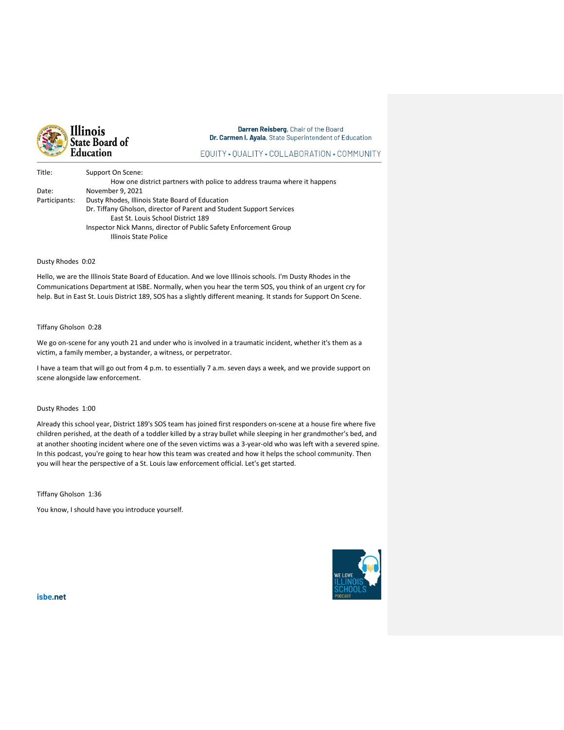

Darren Reisberg, Chair of the Board Dr. Carmen I. Ayala, State Superintendent of Education

# EQUITY · QUALITY · COLLABORATION · COMMUNITY

| Title:        | Support On Scene:                                                        |
|---------------|--------------------------------------------------------------------------|
|               | How one district partners with police to address trauma where it happens |
| Date:         | November 9, 2021                                                         |
| Participants: | Dusty Rhodes, Illinois State Board of Education                          |
|               | Dr. Tiffany Gholson, director of Parent and Student Support Services     |
|               | East St. Louis School District 189                                       |
|               | Inspector Nick Manns, director of Public Safety Enforcement Group        |
|               | Illinois State Police                                                    |

## Dusty Rhodes 0:02

Hello, we are the Illinois State Board of Education. And we love Illinois schools. I'm Dusty Rhodes in the Communications Department at ISBE. Normally, when you hear the term SOS, you think of an urgent cry for help. But in East St. Louis District 189, SOS has a slightly different meaning. It stands for Support On Scene.

## Tiffany Gholson 0:28

We go on-scene for any youth 21 and under who is involved in a traumatic incident, whether it's them as a victim, a family member, a bystander, a witness, or perpetrator.

I have a team that will go out from 4 p.m. to essentially 7 a.m. seven days a week, and we provide support on scene alongside law enforcement.

# Dusty Rhodes 1:00

Already this school year, District 189's SOS team has joined first responders on-scene at a house fire where five children perished, at the death of a toddler killed by a stray bullet while sleeping in her grandmother's bed, and at another shooting incident where one of the seven victims was a 3-year-old who was left with a severed spine. In this podcast, you're going to hear how this team was created and how it helps the school community. Then you will hear the perspective of a St. Louis law enforcement official. Let's get started.

Tiffany Gholson 1:36

You know, I should have you introduce yourself.



isbe.net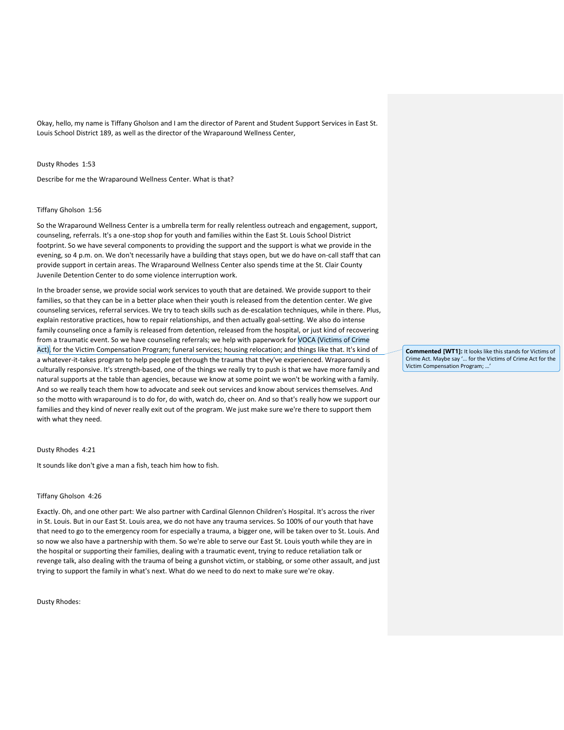Okay, hello, my name is Tiffany Gholson and I am the director of Parent and Student Support Services in East St. Louis School District 189, as well as the director of the Wraparound Wellness Center,

#### Dusty Rhodes 1:53

Describe for me the Wraparound Wellness Center. What is that?

#### Tiffany Gholson 1:56

So the Wraparound Wellness Center is a umbrella term for really relentless outreach and engagement, support, counseling, referrals. It's a one-stop shop for youth and families within the East St. Louis School District footprint. So we have several components to providing the support and the support is what we provide in the evening, so 4 p.m. on. We don't necessarily have a building that stays open, but we do have on-call staff that can provide support in certain areas. The Wraparound Wellness Center also spends time at the St. Clair County Juvenile Detention Center to do some violence interruption work.

In the broader sense, we provide social work services to youth that are detained. We provide support to their families, so that they can be in a better place when their youth is released from the detention center. We give counseling services, referral services. We try to teach skills such as de-escalation techniques, while in there. Plus, explain restorative practices, how to repair relationships, and then actually goal-setting. We also do intense family counseling once a family is released from detention, released from the hospital, or just kind of recovering from a traumatic event. So we have counseling referrals; we help with paperwork for VOCA (Victims of Crime Act), for the Victim Compensation Program; funeral services; housing relocation; and things like that. It's kind of a whatever-it-takes program to help people get through the trauma that they've experienced. Wraparound is culturally responsive. It's strength-based, one of the things we really try to push is that we have more family and natural supports at the table than agencies, because we know at some point we won't be working with a family. And so we really teach them how to advocate and seek out services and know about services themselves. And so the motto with wraparound is to do for, do with, watch do, cheer on. And so that's really how we support our families and they kind of never really exit out of the program. We just make sure we're there to support them with what they need.

### Dusty Rhodes 4:21

It sounds like don't give a man a fish, teach him how to fish.

### Tiffany Gholson 4:26

Exactly. Oh, and one other part: We also partner with Cardinal Glennon Children's Hospital. It's across the river in St. Louis. But in our East St. Louis area, we do not have any trauma services. So 100% of our youth that have that need to go to the emergency room for especially a trauma, a bigger one, will be taken over to St. Louis. And so now we also have a partnership with them. So we're able to serve our East St. Louis youth while they are in the hospital or supporting their families, dealing with a traumatic event, trying to reduce retaliation talk or revenge talk, also dealing with the trauma of being a gunshot victim, or stabbing, or some other assault, and just trying to support the family in what's next. What do we need to do next to make sure we're okay.

Dusty Rhodes:

**Commented [WT1]:** It looks like this stands for Victims of Crime Act. Maybe say '… for the Victims of Crime Act for the Victim Compensation Program; …'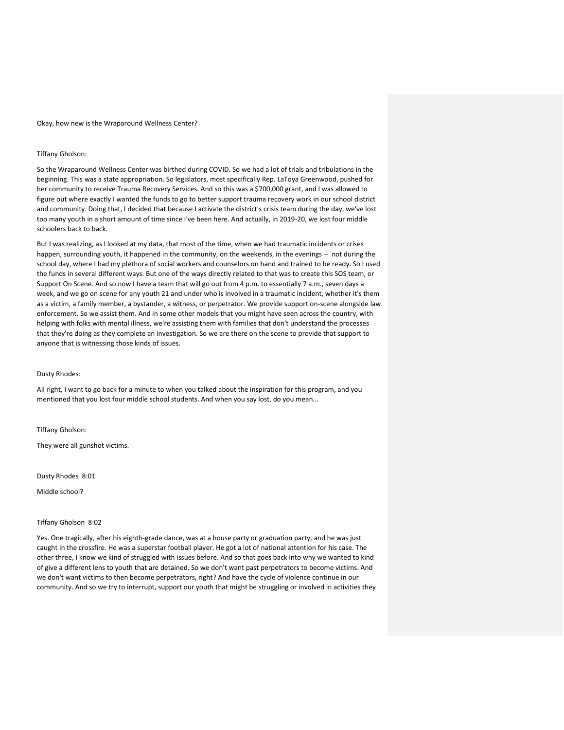Okay, how new is the Wraparound Wellness Center?

## Tiffany Gholson:

So the Wraparound Wellness Center was birthed during COVID. So we had a lot of trials and tribulations in the beginning. This was a state appropriation. So legislators, most specifically Rep. LaToya Greenwood, pushed for her community to receive Trauma Recovery Services. And so this was a \$700,000 grant, and I was allowed to figure out where exactly I wanted the funds to go to better support trauma recovery work in our school district and community. Doing that, I decided that because I activate the district's crisis team during the day, we've lost too many youth in a short amount of time since I've been here. And actually, in 2019-20, we lost four middle schoolers back to back.

But I was realizing, as I looked at my data, that most of the time, when we had traumatic incidents or crises happen, surrounding youth, it happened in the community, on the weekends, in the evenings -- not during the school day, where I had my plethora of social workers and counselors on hand and trained to be ready. So I used the funds in several different ways. But one of the ways directly related to that was to create this SOS team, or Support On Scene. And so now I have a team that will go out from 4 p.m. to essentially 7 a.m., seven days a week, and we go on scene for any youth 21 and under who is involved in a traumatic incident, whether it's them as a victim, a family member, a bystander, a witness, or perpetrator. We provide support on-scene alongside law enforcement. So we assist them. And in some other models that you might have seen across the country, with helping with folks with mental illness, we're assisting them with families that don't understand the processes that they're doing as they complete an investigation. So we are there on the scene to provide that support to anyone that is witnessing those kinds of issues.

# Dusty Rhodes:

All right, I want to go back for a minute to when you talked about the inspiration for this program, and you mentioned that you lost four middle school students. And when you say lost, do you mean...

Tiffany Gholson:

They were all gunshot victims.

Dusty Rhodes 8:01

Middle school?

## Tiffany Gholson 8:02

Yes. One tragically, after his eighth-grade dance, was at a house party or graduation party, and he was just caught in the crossfire. He was a superstar football player. He got a lot of national attention for his case. The other three, I know we kind of struggled with issues before. And so that goes back into why we wanted to kind of give a different lens to youth that are detained. So we don't want past perpetrators to become victims. And we don't want victims to then become perpetrators, right? And have the cycle of violence continue in our community. And so we try to interrupt, support our youth that might be struggling or involved in activities they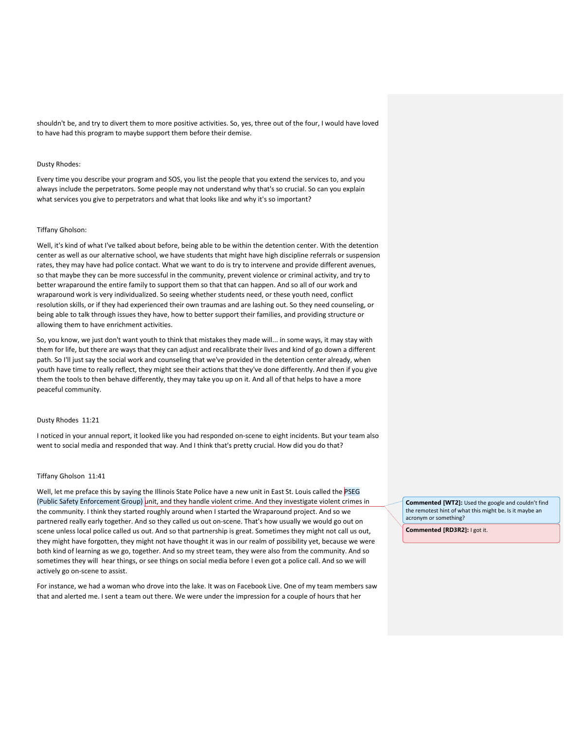shouldn't be, and try to divert them to more positive activities. So, yes, three out of the four, I would have loved to have had this program to maybe support them before their demise.

#### Dusty Rhodes:

Every time you describe your program and SOS, you list the people that you extend the services to, and you always include the perpetrators. Some people may not understand why that's so crucial. So can you explain what services you give to perpetrators and what that looks like and why it's so important?

# Tiffany Gholson:

Well, it's kind of what I've talked about before, being able to be within the detention center. With the detention center as well as our alternative school, we have students that might have high discipline referrals or suspension rates, they may have had police contact. What we want to do is try to intervene and provide different avenues, so that maybe they can be more successful in the community, prevent violence or criminal activity, and try to better wraparound the entire family to support them so that that can happen. And so all of our work and wraparound work is very individualized. So seeing whether students need, or these youth need, conflict resolution skills, or if they had experienced their own traumas and are lashing out. So they need counseling, or being able to talk through issues they have, how to better support their families, and providing structure or allowing them to have enrichment activities.

So, you know, we just don't want youth to think that mistakes they made will... in some ways, it may stay with them for life, but there are ways that they can adjust and recalibrate their lives and kind of go down a different path. So I'll just say the social work and counseling that we've provided in the detention center already, when youth have time to really reflect, they might see their actions that they've done differently. And then if you give them the tools to then behave differently, they may take you up on it. And all of that helps to have a more peaceful community.

#### Dusty Rhodes 11:21

I noticed in your annual report, it looked like you had responded on-scene to eight incidents. But your team also went to social media and responded that way. And I think that's pretty crucial. How did you do that?

# Tiffany Gholson 11:41

Well, let me preface this by saying the Illinois State Police have a new unit in East St. Louis called the PSEG (Public Safety Enforcement Group) unit, and they handle violent crime. And they investigate violent crimes in the community. I think they started roughly around when I started the Wraparound project. And so we partnered really early together. And so they called us out on-scene. That's how usually we would go out on scene unless local police called us out. And so that partnership is great. Sometimes they might not call us out, they might have forgotten, they might not have thought it was in our realm of possibility yet, because we were both kind of learning as we go, together. And so my street team, they were also from the community. And so sometimes they will hear things, or see things on social media before I even got a police call. And so we will actively go on-scene to assist.

For instance, we had a woman who drove into the lake. It was on Facebook Live. One of my team members saw that and alerted me. I sent a team out there. We were under the impression for a couple of hours that her

**Commented [WT2]:** Used the google and couldn't find the remotest hint of what this might be. Is it maybe an acronym or something?

**Commented [RD3R2]:** I got it.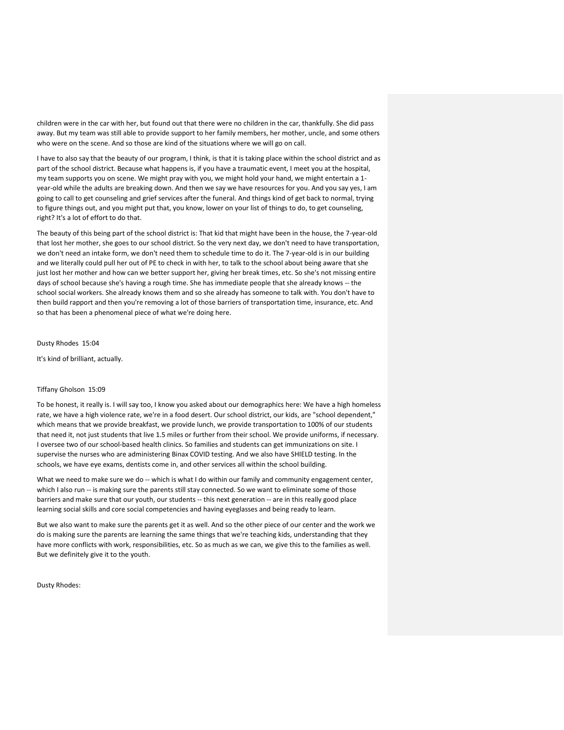children were in the car with her, but found out that there were no children in the car, thankfully. She did pass away. But my team was still able to provide support to her family members, her mother, uncle, and some others who were on the scene. And so those are kind of the situations where we will go on call.

I have to also say that the beauty of our program, I think, is that it is taking place within the school district and as part of the school district. Because what happens is, if you have a traumatic event, I meet you at the hospital, my team supports you on scene. We might pray with you, we might hold your hand, we might entertain a 1 year-old while the adults are breaking down. And then we say we have resources for you. And you say yes, I am going to call to get counseling and grief services after the funeral. And things kind of get back to normal, trying to figure things out, and you might put that, you know, lower on your list of things to do, to get counseling, right? It's a lot of effort to do that.

The beauty of this being part of the school district is: That kid that might have been in the house, the 7-year-old that lost her mother, she goes to our school district. So the very next day, we don't need to have transportation, we don't need an intake form, we don't need them to schedule time to do it. The 7-year-old is in our building and we literally could pull her out of PE to check in with her, to talk to the school about being aware that she just lost her mother and how can we better support her, giving her break times, etc. So she's not missing entire days of school because she's having a rough time. She has immediate people that she already knows -- the school social workers. She already knows them and so she already has someone to talk with. You don't have to then build rapport and then you're removing a lot of those barriers of transportation time, insurance, etc. And so that has been a phenomenal piece of what we're doing here.

Dusty Rhodes 15:04

It's kind of brilliant, actually.

### Tiffany Gholson 15:09

To be honest, it really is. I will say too, I know you asked about our demographics here: We have a high homeless rate, we have a high violence rate, we're in a food desert. Our school district, our kids, are "school dependent," which means that we provide breakfast, we provide lunch, we provide transportation to 100% of our students that need it, not just students that live 1.5 miles or further from their school. We provide uniforms, if necessary. I oversee two of our school-based health clinics. So families and students can get immunizations on site. I supervise the nurses who are administering Binax COVID testing. And we also have SHIELD testing. In the schools, we have eye exams, dentists come in, and other services all within the school building.

What we need to make sure we do -- which is what I do within our family and community engagement center, which I also run -- is making sure the parents still stay connected. So we want to eliminate some of those barriers and make sure that our youth, our students -- this next generation -- are in this really good place learning social skills and core social competencies and having eyeglasses and being ready to learn.

But we also want to make sure the parents get it as well. And so the other piece of our center and the work we do is making sure the parents are learning the same things that we're teaching kids, understanding that they have more conflicts with work, responsibilities, etc. So as much as we can, we give this to the families as well. But we definitely give it to the youth.

Dusty Rhodes: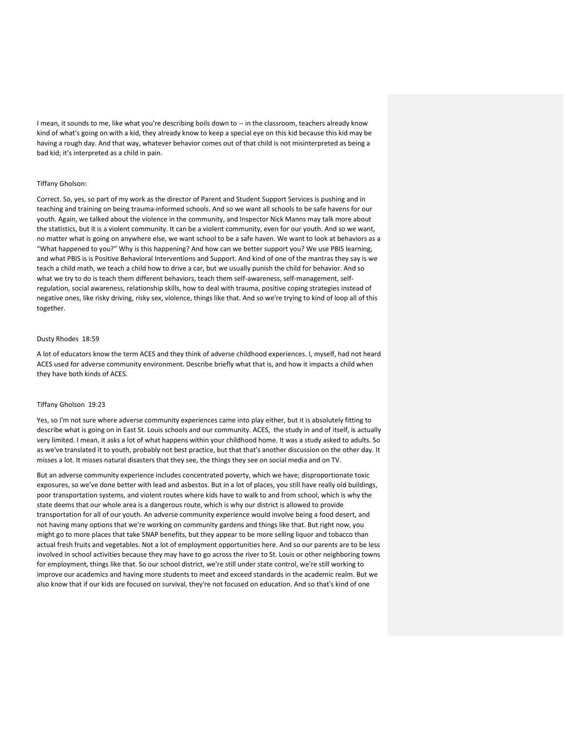I mean, it sounds to me, like what you're describing boils down to -- in the classroom, teachers already know kind of what's going on with a kid, they already know to keep a special eye on this kid because this kid may be having a rough day. And that way, whatever behavior comes out of that child is not misinterpreted as being a bad kid; it's interpreted as a child in pain.

# Tiffany Gholson:

Correct. So, yes, so part of my work as the director of Parent and Student Support Services is pushing and in teaching and training on being trauma-informed schools. And so we want all schools to be safe havens for our youth. Again, we talked about the violence in the community, and Inspector Nick Manns may talk more about the statistics, but it is a violent community. It can be a violent community, even for our youth. And so we want, no matter what is going on anywhere else, we want school to be a safe haven. We want to look at behaviors as a "What happened to you?" Why is this happening? And how can we better support you? We use PBIS learning, and what PBIS is is Positive Behavioral Interventions and Support. And kind of one of the mantras they say is we teach a child math, we teach a child how to drive a car, but we usually punish the child for behavior. And so what we try to do is teach them different behaviors, teach them self-awareness, self-management, selfregulation, social awareness, relationship skills, how to deal with trauma, positive coping strategies instead of negative ones, like risky driving, risky sex, violence, things like that. And so we're trying to kind of loop all of this together.

#### Dusty Rhodes 18:59

A lot of educators know the term ACES and they think of adverse childhood experiences. I, myself, had not heard ACES used for adverse community environment. Describe briefly what that is, and how it impacts a child when they have both kinds of ACES.

### Tiffany Gholson 19:23

Yes, so I'm not sure where adverse community experiences came into play either, but it is absolutely fitting to describe what is going on in East St. Louis schools and our community. ACES, the study in and of itself, is actually very limited. I mean, it asks a lot of what happens within your childhood home. It was a study asked to adults. So as we've translated it to youth, probably not best practice, but that that's another discussion on the other day. It misses a lot. It misses natural disasters that they see, the things they see on social media and on TV.

But an adverse community experience includes concentrated poverty, which we have; disproportionate toxic exposures, so we've done better with lead and asbestos. But in a lot of places, you still have really old buildings, poor transportation systems, and violent routes where kids have to walk to and from school, which is why the state deems that our whole area is a dangerous route, which is why our district is allowed to provide transportation for all of our youth. An adverse community experience would involve being a food desert, and not having many options that we're working on community gardens and things like that. But right now, you might go to more places that take SNAP benefits, but they appear to be more selling liquor and tobacco than actual fresh fruits and vegetables. Not a lot of employment opportunities here. And so our parents are to be less involved in school activities because they may have to go across the river to St. Louis or other neighboring towns for employment, things like that. So our school district, we're still under state control, we're still working to improve our academics and having more students to meet and exceed standards in the academic realm. But we also know that if our kids are focused on survival, they're not focused on education. And so that's kind of one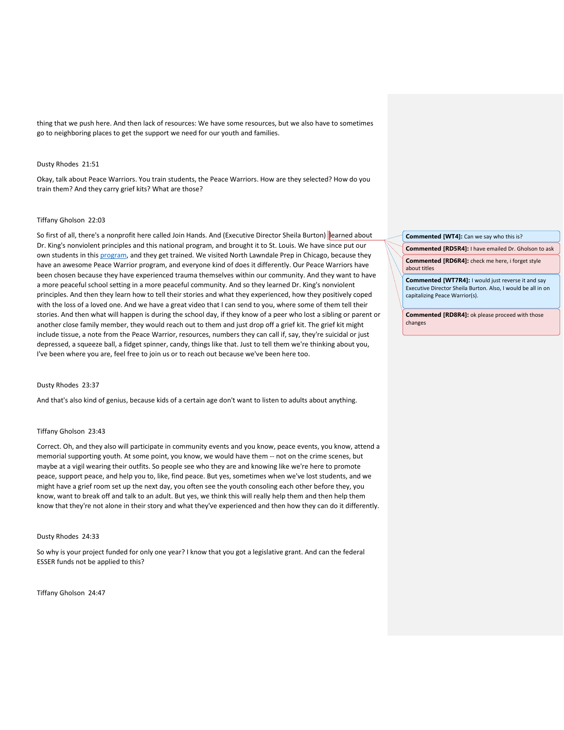thing that we push here. And then lack of resources: We have some resources, but we also have to sometimes go to neighboring places to get the support we need for our youth and families.

#### Dusty Rhodes 21:51

Okay, talk about Peace Warriors. You train students, the Peace Warriors. How are they selected? How do you train them? And they carry grief kits? What are those?

#### Tiffany Gholson 22:03

So first of all, there's a nonprofit here called Join Hands. And (Executive Director Sheila Burton) learned about Dr. King's nonviolent principles and this national program, and brought it to St. Louis. We have since put our own students in thi[s program,](https://www.stltoday.com/pr/lifestyles/join-hands-peace-warriors-advocate-kingian-nonviolence-to-deliver-change/article_8e20158c-3ae3-11ea-8c47-5cb9017b8d9f.html) and they get trained. We visited North Lawndale Prep in Chicago, because they have an awesome Peace Warrior program, and everyone kind of does it differently. Our Peace Warriors have been chosen because they have experienced trauma themselves within our community. And they want to have a more peaceful school setting in a more peaceful community. And so they learned Dr. King's nonviolent principles. And then they learn how to tell their stories and what they experienced, how they positively coped with the loss of a loved one. And we have a great video that I can send to you, where some of them tell their stories. And then what will happen is during the school day, if they know of a peer who lost a sibling or parent or another close family member, they would reach out to them and just drop off a grief kit. The grief kit might include tissue, a note from the Peace Warrior, resources, numbers they can call if, say, they're suicidal or just depressed, a squeeze ball, a fidget spinner, candy, things like that. Just to tell them we're thinking about you, I've been where you are, feel free to join us or to reach out because we've been here too.

## Dusty Rhodes 23:37

And that's also kind of genius, because kids of a certain age don't want to listen to adults about anything.

## Tiffany Gholson 23:43

Correct. Oh, and they also will participate in community events and you know, peace events, you know, attend a memorial supporting youth. At some point, you know, we would have them -- not on the crime scenes, but maybe at a vigil wearing their outfits. So people see who they are and knowing like we're here to promote peace, support peace, and help you to, like, find peace. But yes, sometimes when we've lost students, and we might have a grief room set up the next day, you often see the youth consoling each other before they, you know, want to break off and talk to an adult. But yes, we think this will really help them and then help them know that they're not alone in their story and what they've experienced and then how they can do it differently.

#### Dusty Rhodes 24:33

So why is your project funded for only one year? I know that you got a legislative grant. And can the federal ESSER funds not be applied to this?

Tiffany Gholson 24:47

### **Commented [WT4]:** Can we say who this is?

**Commented [RD5R4]:** I have emailed Dr. Gholson to ask

**Commented [RD6R4]:** check me here, i forget style about titles

**Commented [WT7R4]:** I would just reverse it and say Executive Director Sheila Burton. Also, I would be all in on capitalizing Peace Warrior(s).

**Commented [RD8R4]:** ok please proceed with those changes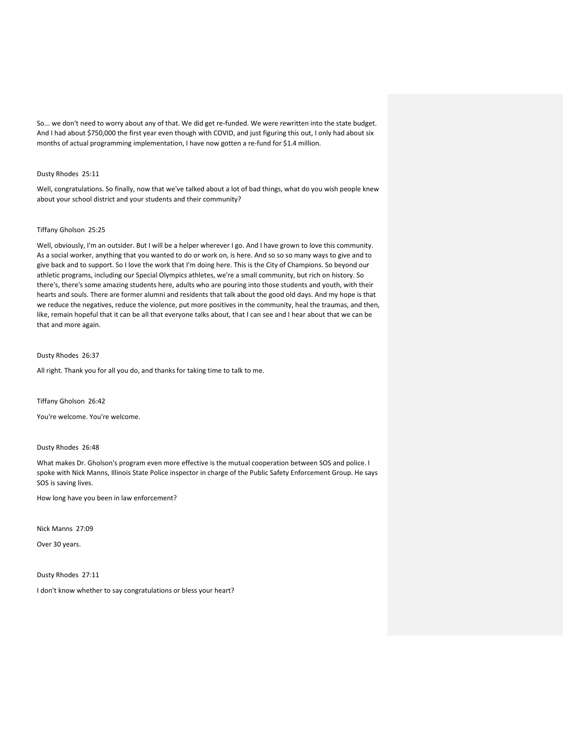So... we don't need to worry about any of that. We did get re-funded. We were rewritten into the state budget. And I had about \$750,000 the first year even though with COVID, and just figuring this out, I only had about six months of actual programming implementation, I have now gotten a re-fund for \$1.4 million.

# Dusty Rhodes 25:11

Well, congratulations. So finally, now that we've talked about a lot of bad things, what do you wish people knew about your school district and your students and their community?

# Tiffany Gholson 25:25

Well, obviously, I'm an outsider. But I will be a helper wherever I go. And I have grown to love this community. As a social worker, anything that you wanted to do or work on, is here. And so so so many ways to give and to give back and to support. So I love the work that I'm doing here. This is the City of Champions. So beyond our athletic programs, including our Special Olympics athletes, we're a small community, but rich on history. So there's, there's some amazing students here, adults who are pouring into those students and youth, with their hearts and souls. There are former alumni and residents that talk about the good old days. And my hope is that we reduce the negatives, reduce the violence, put more positives in the community, heal the traumas, and then, like, remain hopeful that it can be all that everyone talks about, that I can see and I hear about that we can be that and more again.

# Dusty Rhodes 26:37

All right. Thank you for all you do, and thanks for taking time to talk to me.

Tiffany Gholson 26:42

You're welcome. You're welcome.

# Dusty Rhodes 26:48

What makes Dr. Gholson's program even more effective is the mutual cooperation between SOS and police. I spoke with Nick Manns, Illinois State Police inspector in charge of the Public Safety Enforcement Group. He says SOS is saving lives.

How long have you been in law enforcement?

Nick Manns 27:09

Over 30 years.

Dusty Rhodes 27:11

I don't know whether to say congratulations or bless your heart?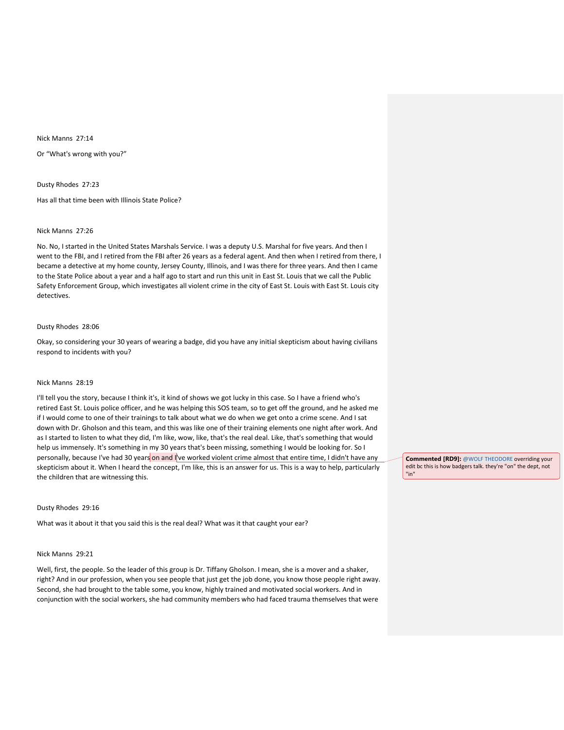Nick Manns 27:14

Or "What's wrong with you?"

Dusty Rhodes 27:23

Has all that time been with Illinois State Police?

### Nick Manns 27:26

No. No, I started in the United States Marshals Service. I was a deputy U.S. Marshal for five years. And then I went to the FBI, and I retired from the FBI after 26 years as a federal agent. And then when I retired from there, I became a detective at my home county, Jersey County, Illinois, and I was there for three years. And then I came to the State Police about a year and a half ago to start and run this unit in East St. Louis that we call the Public Safety Enforcement Group, which investigates all violent crime in the city of East St. Louis with East St. Louis city detectives.

## Dusty Rhodes 28:06

Okay, so considering your 30 years of wearing a badge, did you have any initial skepticism about having civilians respond to incidents with you?

#### Nick Manns 28:19

I'll tell you the story, because I think it's, it kind of shows we got lucky in this case. So I have a friend who's retired East St. Louis police officer, and he was helping this SOS team, so to get off the ground, and he asked me if I would come to one of their trainings to talk about what we do when we get onto a crime scene. And I sat down with Dr. Gholson and this team, and this was like one of their training elements one night after work. And as I started to listen to what they did, I'm like, wow, like, that's the real deal. Like, that's something that would help us immensely. It's something in my 30 years that's been missing, something I would be looking for. So I personally, because I've had 30 years on and I've worked violent crime almost that entire time, I didn't have any skepticism about it. When I heard the concept, I'm like, this is an answer for us. This is a way to help, particularly the children that are witnessing this.

### Dusty Rhodes 29:16

What was it about it that you said this is the real deal? What was it that caught your ear?

#### Nick Manns 29:21

Well, first, the people. So the leader of this group is Dr. Tiffany Gholson. I mean, she is a mover and a shaker, right? And in our profession, when you see people that just get the job done, you know those people right away. Second, she had brought to the table some, you know, highly trained and motivated social workers. And in conjunction with the social workers, she had community members who had faced trauma themselves that were

**Commented [RD9]:** [@WOLF THEODORE](mailto:twolf@isbe.net) overriding your edit bc this is how badgers talk. they're "on" the dept, not "in"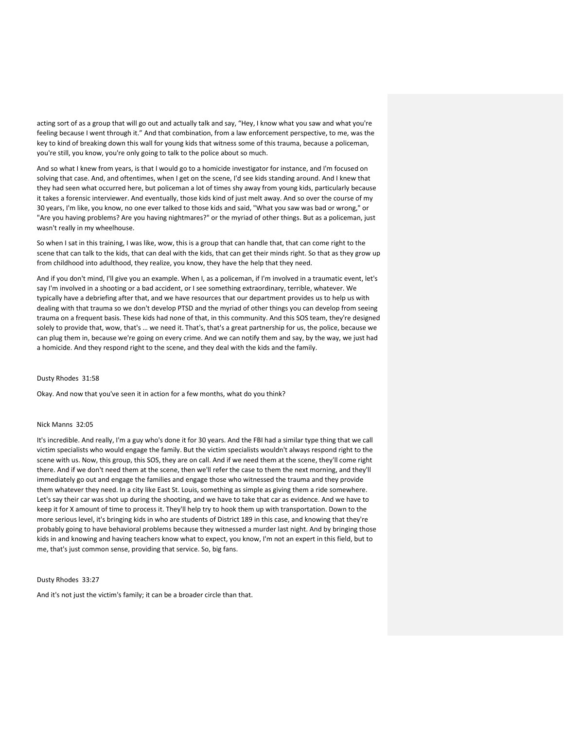acting sort of as a group that will go out and actually talk and say, "Hey, I know what you saw and what you're feeling because I went through it." And that combination, from a law enforcement perspective, to me, was the key to kind of breaking down this wall for young kids that witness some of this trauma, because a policeman, you're still, you know, you're only going to talk to the police about so much.

And so what I knew from years, is that I would go to a homicide investigator for instance, and I'm focused on solving that case. And, and oftentimes, when I get on the scene, I'd see kids standing around. And I knew that they had seen what occurred here, but policeman a lot of times shy away from young kids, particularly because it takes a forensic interviewer. And eventually, those kids kind of just melt away. And so over the course of my 30 years, I'm like, you know, no one ever talked to those kids and said, "What you saw was bad or wrong," or "Are you having problems? Are you having nightmares?" or the myriad of other things. But as a policeman, just wasn't really in my wheelhouse.

So when I sat in this training, I was like, wow, this is a group that can handle that, that can come right to the scene that can talk to the kids, that can deal with the kids, that can get their minds right. So that as they grow up from childhood into adulthood, they realize, you know, they have the help that they need.

And if you don't mind, I'll give you an example. When I, as a policeman, if I'm involved in a traumatic event, let's say I'm involved in a shooting or a bad accident, or I see something extraordinary, terrible, whatever. We typically have a debriefing after that, and we have resources that our department provides us to help us with dealing with that trauma so we don't develop PTSD and the myriad of other things you can develop from seeing trauma on a frequent basis. These kids had none of that, in this community. And this SOS team, they're designed solely to provide that, wow, that's … we need it. That's, that's a great partnership for us, the police, because we can plug them in, because we're going on every crime. And we can notify them and say, by the way, we just had a homicide. And they respond right to the scene, and they deal with the kids and the family.

# Dusty Rhodes 31:58

Okay. And now that you've seen it in action for a few months, what do you think?

# Nick Manns 32:05

It's incredible. And really, I'm a guy who's done it for 30 years. And the FBI had a similar type thing that we call victim specialists who would engage the family. But the victim specialists wouldn't always respond right to the scene with us. Now, this group, this SOS, they are on call. And if we need them at the scene, they'll come right there. And if we don't need them at the scene, then we'll refer the case to them the next morning, and they'll immediately go out and engage the families and engage those who witnessed the trauma and they provide them whatever they need. In a city like East St. Louis, something as simple as giving them a ride somewhere. Let's say their car was shot up during the shooting, and we have to take that car as evidence. And we have to keep it for X amount of time to process it. They'll help try to hook them up with transportation. Down to the more serious level, it's bringing kids in who are students of District 189 in this case, and knowing that they're probably going to have behavioral problems because they witnessed a murder last night. And by bringing those kids in and knowing and having teachers know what to expect, you know, I'm not an expert in this field, but to me, that's just common sense, providing that service. So, big fans.

Dusty Rhodes 33:27

And it's not just the victim's family; it can be a broader circle than that.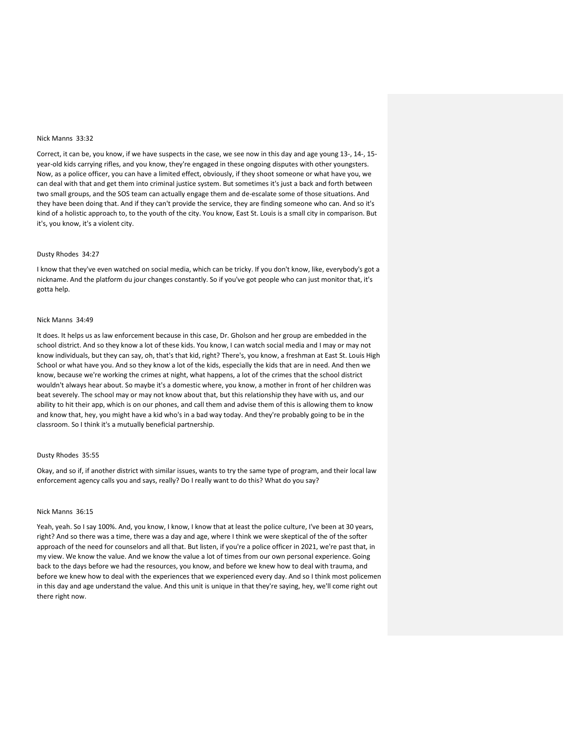# Nick Manns 33:32

Correct, it can be, you know, if we have suspects in the case, we see now in this day and age young 13-, 14-, 15 year-old kids carrying rifles, and you know, they're engaged in these ongoing disputes with other youngsters. Now, as a police officer, you can have a limited effect, obviously, if they shoot someone or what have you, we can deal with that and get them into criminal justice system. But sometimes it's just a back and forth between two small groups, and the SOS team can actually engage them and de-escalate some of those situations. And they have been doing that. And if they can't provide the service, they are finding someone who can. And so it's kind of a holistic approach to, to the youth of the city. You know, East St. Louis is a small city in comparison. But it's, you know, it's a violent city.

#### Dusty Rhodes 34:27

I know that they've even watched on social media, which can be tricky. If you don't know, like, everybody's got a nickname. And the platform du jour changes constantly. So if you've got people who can just monitor that, it's gotta help.

#### Nick Manns 34:49

It does. It helps us as law enforcement because in this case, Dr. Gholson and her group are embedded in the school district. And so they know a lot of these kids. You know, I can watch social media and I may or may not know individuals, but they can say, oh, that's that kid, right? There's, you know, a freshman at East St. Louis High School or what have you. And so they know a lot of the kids, especially the kids that are in need. And then we know, because we're working the crimes at night, what happens, a lot of the crimes that the school district wouldn't always hear about. So maybe it's a domestic where, you know, a mother in front of her children was beat severely. The school may or may not know about that, but this relationship they have with us, and our ability to hit their app, which is on our phones, and call them and advise them of this is allowing them to know and know that, hey, you might have a kid who's in a bad way today. And they're probably going to be in the classroom. So I think it's a mutually beneficial partnership.

## Dusty Rhodes 35:55

Okay, and so if, if another district with similar issues, wants to try the same type of program, and their local law enforcement agency calls you and says, really? Do I really want to do this? What do you say?

## Nick Manns 36:15

Yeah, yeah. So I say 100%. And, you know, I know, I know that at least the police culture, I've been at 30 years, right? And so there was a time, there was a day and age, where I think we were skeptical of the of the softer approach of the need for counselors and all that. But listen, if you're a police officer in 2021, we're past that, in my view. We know the value. And we know the value a lot of times from our own personal experience. Going back to the days before we had the resources, you know, and before we knew how to deal with trauma, and before we knew how to deal with the experiences that we experienced every day. And so I think most policemen in this day and age understand the value. And this unit is unique in that they're saying, hey, we'll come right out there right now.